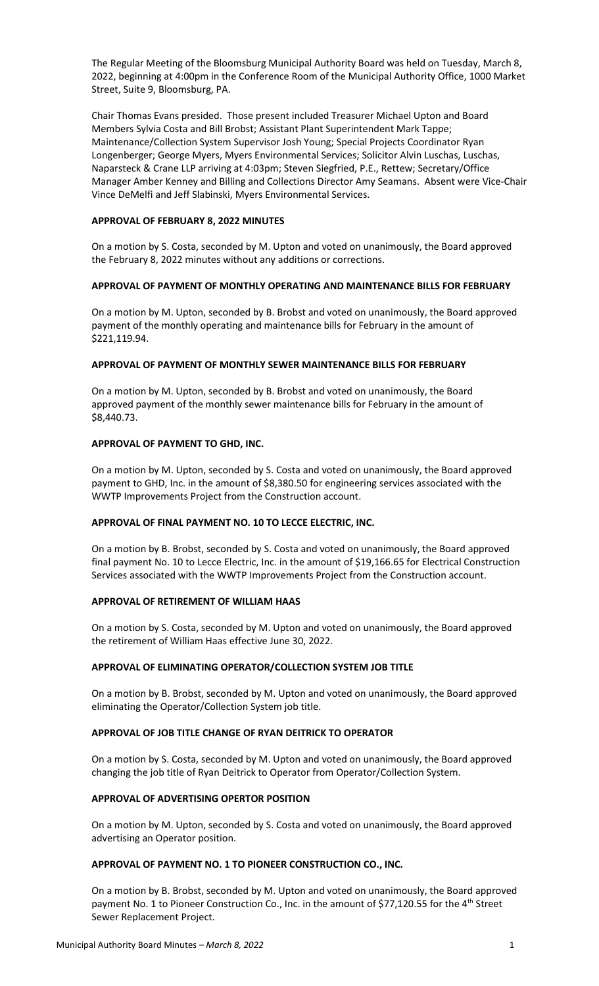The Regular Meeting of the Bloomsburg Municipal Authority Board was held on Tuesday, March 8, 2022, beginning at 4:00pm in the Conference Room of the Municipal Authority Office, 1000 Market Street, Suite 9, Bloomsburg, PA.

Chair Thomas Evans presided. Those present included Treasurer Michael Upton and Board Members Sylvia Costa and Bill Brobst; Assistant Plant Superintendent Mark Tappe; Maintenance/Collection System Supervisor Josh Young; Special Projects Coordinator Ryan Longenberger; George Myers, Myers Environmental Services; Solicitor Alvin Luschas, Luschas, Naparsteck & Crane LLP arriving at 4:03pm; Steven Siegfried, P.E., Rettew; Secretary/Office Manager Amber Kenney and Billing and Collections Director Amy Seamans. Absent were Vice-Chair Vince DeMelfi and Jeff Slabinski, Myers Environmental Services.

# **APPROVAL OF FEBRUARY 8, 2022 MINUTES**

On a motion by S. Costa, seconded by M. Upton and voted on unanimously, the Board approved the February 8, 2022 minutes without any additions or corrections.

#### **APPROVAL OF PAYMENT OF MONTHLY OPERATING AND MAINTENANCE BILLS FOR FEBRUARY**

On a motion by M. Upton, seconded by B. Brobst and voted on unanimously, the Board approved payment of the monthly operating and maintenance bills for February in the amount of \$221,119.94.

# **APPROVAL OF PAYMENT OF MONTHLY SEWER MAINTENANCE BILLS FOR FEBRUARY**

On a motion by M. Upton, seconded by B. Brobst and voted on unanimously, the Board approved payment of the monthly sewer maintenance bills for February in the amount of \$8,440.73.

# **APPROVAL OF PAYMENT TO GHD, INC.**

On a motion by M. Upton, seconded by S. Costa and voted on unanimously, the Board approved payment to GHD, Inc. in the amount of \$8,380.50 for engineering services associated with the WWTP Improvements Project from the Construction account.

#### **APPROVAL OF FINAL PAYMENT NO. 10 TO LECCE ELECTRIC, INC.**

On a motion by B. Brobst, seconded by S. Costa and voted on unanimously, the Board approved final payment No. 10 to Lecce Electric, Inc. in the amount of \$19,166.65 for Electrical Construction Services associated with the WWTP Improvements Project from the Construction account.

#### **APPROVAL OF RETIREMENT OF WILLIAM HAAS**

On a motion by S. Costa, seconded by M. Upton and voted on unanimously, the Board approved the retirement of William Haas effective June 30, 2022.

#### **APPROVAL OF ELIMINATING OPERATOR/COLLECTION SYSTEM JOB TITLE**

On a motion by B. Brobst, seconded by M. Upton and voted on unanimously, the Board approved eliminating the Operator/Collection System job title.

#### **APPROVAL OF JOB TITLE CHANGE OF RYAN DEITRICK TO OPERATOR**

On a motion by S. Costa, seconded by M. Upton and voted on unanimously, the Board approved changing the job title of Ryan Deitrick to Operator from Operator/Collection System.

# **APPROVAL OF ADVERTISING OPERTOR POSITION**

On a motion by M. Upton, seconded by S. Costa and voted on unanimously, the Board approved advertising an Operator position.

#### **APPROVAL OF PAYMENT NO. 1 TO PIONEER CONSTRUCTION CO., INC.**

On a motion by B. Brobst, seconded by M. Upton and voted on unanimously, the Board approved payment No. 1 to Pioneer Construction Co., Inc. in the amount of \$77,120.55 for the 4<sup>th</sup> Street Sewer Replacement Project.